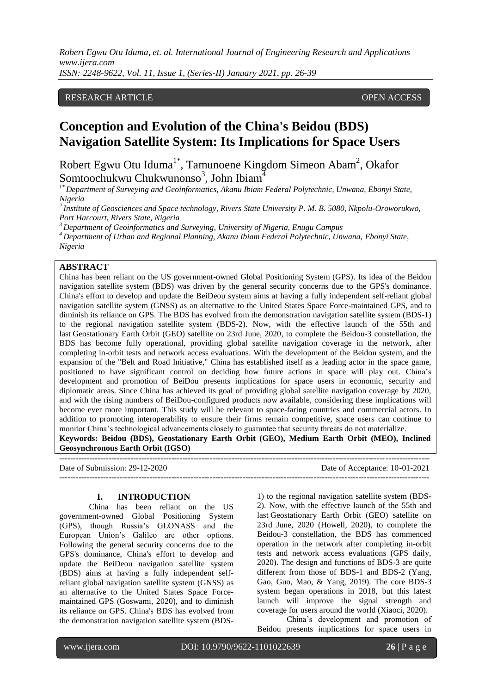*ISSN: 2248-9622, Vol. 11, Issue 1, (Series-II) January 2021, pp. 26-39*

### RESEARCH ARTICLE **CONSERVERS** OPEN ACCESS

# **Conception and Evolution of the China's Beidou (BDS) Navigation Satellite System: Its Implications for Space Users**

Robert Egwu Otu Iduma<sup>1\*</sup>, Tamunoene Kingdom Simeon Abam<sup>2</sup>, Okafor Somtoochukwu Chukwunonso<sup>3</sup>, John Ibiam<sup>4</sup>

*1\* Department of Surveying and Geoinformatics, Akanu Ibiam Federal Polytechnic, Unwana, Ebonyi State, Nigeria*

*<sup>2</sup>Institute of Geosciences and Space technology, Rivers State University P. M. B. 5080, Nkpolu-Oroworukwo, Port Harcourt, Rivers State, Nigeria*

*<sup>3</sup> Department of Geoinformatics and Surveying, University of Nigeria, Enugu Campus*

*<sup>4</sup>Department of Urban and Regional Planning, Akanu Ibiam Federal Polytechnic, Unwana, Ebonyi State, Nigeria*

### **ABSTRACT**

China has been reliant on the US government-owned Global Positioning System (GPS). Its idea of the Beidou navigation satellite system (BDS) was driven by the general security concerns due to the GPS's dominance. China's effort to develop and update the BeiDeou system aims at having a fully independent self-reliant [global](http://www.terrisgps.com/gnss-gps-differences-explained/)  [navigation satellite system](http://www.terrisgps.com/gnss-gps-differences-explained/) (GNSS) as an alternative to the [United States Space Force-maintained](https://www.spaceforce.mil/News/Article/2166101/gps-celebrates-25th-year-of-operation) GPS, and to diminish its reliance on GPS. The BDS has evolved from the demonstration navigation satellite system (BDS-1) to the regional navigation satellite system (BDS-2). Now, with the effective launch of the 55th and last Geostationary Earth Orbit (GEO) satellite on 23rd June, 2020, to complete the Beidou-3 constellation, the BDS has become fully operational, providing global satellite navigation coverage in the network, after completing in-orbit tests and network access evaluations. With the development of the Beidou system, and the expansion of the "Belt and Road Initiative," China has established itself as a leading actor in the space game, positioned to have significant control on deciding how future actions in space will play out. China's development and promotion of BeiDou presents implications for space users in economic, security and diplomatic areas. Since China has achieved its goal of providing global satellite navigation coverage by 2020, and with the rising numbers of BeiDou-configured products now available, considering these implications will become ever more important. This study will be relevant to space-faring countries and commercial actors. In addition to promoting interoperability to ensure their firms remain competitive, space users can continue to monitor China's technological advancements closely to guarantee that security threats do not materialize. **Keywords: Beidou (BDS), Geostationary Earth Orbit (GEO), Medium Earth Orbit (MEO), Inclined** 

**Geosynchronous Earth Orbit (IGSO)**

Date of Submission: 29-12-2020 Date of Acceptance: 10-01-2021

#### **I. INTRODUCTION**

---------------------------------------------------------------------------------------------------------------------------------------

---------------------------------------------------------------------------------------------------------------------------------------

China has been reliant on the US government-owned Global Positioning System (GPS), though Russia's GLONASS and the European Union's Galileo are other options. Following the general security concerns due to the GPS's dominance, China's effort to develop and update the BeiDeou navigation satellite system (BDS) aims at having a fully independent selfreliant [global navigation satellite system](http://www.terrisgps.com/gnss-gps-differences-explained/) (GNSS) as an alternative to the [United States Space Force](https://www.spaceforce.mil/News/Article/2166101/gps-celebrates-25th-year-of-operation)[maintained](https://www.spaceforce.mil/News/Article/2166101/gps-celebrates-25th-year-of-operation) GPS (Goswami, 2020), and to diminish its reliance on GPS. China's BDS has evolved from the demonstration navigation satellite system (BDS-

1) to the regional navigation satellite system (BDS-2). Now, with the effective launch of the 55th and last Geostationary Earth Orbit (GEO) satellite on 23rd June, 2020 (Howell, 2020), to complete the Beidou-3 constellation, the BDS has commenced operation in the network after completing in-orbit tests and network access evaluations (GPS daily, 2020). The design and functions of BDS-3 are quite different from those of BDS-1 and BDS-2 (Yang, Gao, Guo, Mao, & Yang, 2019). The core BDS-3 system began operations in 2018, but this latest launch will improve the signal strength and coverage for users around the world (Xiaoci, 2020).

China's development and promotion of Beidou presents implications for space users in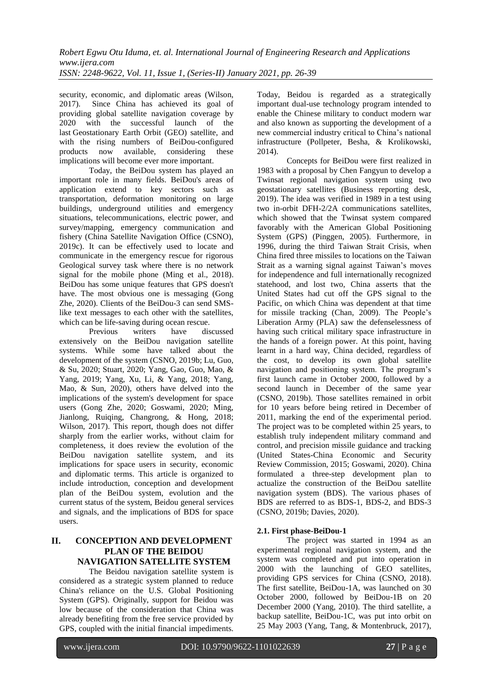security, economic, and diplomatic areas (Wilson, 2017). Since China has achieved its goal of providing global satellite navigation coverage by 2020 with the successful launch of the last Geostationary Earth Orbit (GEO) satellite, and with the rising numbers of BeiDou-configured<br>products now available, considering these available, considering these implications will become ever more important.

Today, the BeiDou system has played an important role in many fields. BeiDou's areas of application extend to key sectors such as transportation, deformation monitoring on large buildings, underground utilities and emergency situations, telecommunications, electric power, and survey/mapping, emergency communication and fishery (China Satellite Navigation Office (CSNO), 2019c). It can be effectively used to locate and communicate in the emergency rescue for rigorous Geological survey task where there is no network signal for the mobile phone (Ming et al., 2018). BeiDou has some unique features that GPS doesn't have. The most obvious one is messaging (Gong Zhe, 2020). Clients of the BeiDou-3 can send SMSlike text messages to each other with the satellites, which can be life-saving during ocean rescue.

Previous writers have discussed extensively on the BeiDou navigation satellite systems. While some have talked about the development of the system (CSNO, 2019b; Lu, Guo, & Su, 2020; Stuart, 2020; Yang, Gao, Guo, Mao, & Yang, 2019; Yang, Xu, Li, & Yang, 2018; Yang, Mao, & Sun, 2020), others have delved into the implications of the system's development for space users (Gong Zhe, 2020; Goswami, 2020; Ming, Jianlong, Ruiqing, Changrong, & Hong, 2018; Wilson, 2017). This report, though does not differ sharply from the earlier works, without claim for completeness, it does review the evolution of the BeiDou navigation satellite system, and its implications for space users in security, economic and diplomatic terms. This article is organized to include introduction, conception and development plan of the BeiDou system, evolution and the current status of the system, Beidou general services and signals, and the implications of BDS for space users.

### **II. CONCEPTION AND DEVELOPMENT PLAN OF THE BEIDOU NAVIGATION SATELLITE SYSTEM**

The Beidou navigation satellite system is considered as a strategic system planned to reduce China's reliance on the U.S. Global Positioning System (GPS). Originally, support for Beidou was low because of the consideration that China was already benefiting from the free service provided by GPS, coupled with the initial financial impediments.

Today, Beidou is regarded as a strategically important dual-use technology program intended to enable the Chinese military to conduct modern war and also known as supporting the development of a new commercial industry critical to China's national infrastructure (Pollpeter, Besha, & Krolikowski, 2014).

Concepts for BeiDou were first realized in 1983 with a proposal by Chen Fangyun to develop a Twinsat regional navigation system using two geostationary satellites (Business reporting desk, 2019). The idea was verified in 1989 in a test using two in-orbit DFH-2/2A communications satellites, which showed that the Twinsat system compared favorably with the American Global Positioning System (GPS) (Pinggen, 2005). Furthermore, in 1996, during the [third Taiwan Strait Crisis,](https://www.jstor.org/stable/2645635) when China fired three missiles to locations on the Taiwan Strait [as a warning signal](https://nationalinterest.org/feature/the-third-taiwan-strait-crisis-the-forgotten-showdown-19742) against Taiwan's moves [for independence and full](https://projects.iq.harvard.edu/files/fellows/files/chang.pdf) internationally recognized statehood, and lost two, China asserts that the United States [had cut off the GPS](https://www.scmp.com/article/698161/unforgettable-humiliation-led-development-gps-equivalent) signal to the Pacific, on which China was dependent at that time for missile tracking (Chan, 2009). The People's Liberation Army (PLA) saw the defenselessness of having such critical military space infrastructure in the hands of a foreign power. At this point, having learnt in a hard way, China decided, regardless of the cost, to develop its own global satellite navigation and positioning system. The program's first launch came in October 2000, followed by a second launch in December of the same year (CSNO, 2019b). Those satellites remained in orbit for 10 years before being retired in December of 2011, marking the end of the experimental period. The project was to be completed within 25 years, to establish truly independent military command and control, and precision missile guidance and tracking (United States-China Economic and Security Review Commission, 2015; Goswami, 2020). China formulated a three-step development plan to actualize the construction of the BeiDou satellite navigation system (BDS). The various phases of BDS are referred to as BDS-1, BDS-2, and BDS-3 (CSNO, 2019b; Davies, 2020).

### **2.1. First phase-BeiDou-1**

The project was started in 1994 as an experimental regional navigation system, and the system was completed and put into operation in 2000 with the launching of GEO satellites, providing GPS services for China (CSNO, 2018). The first satellite, BeiDou-1A, was launched on 30 October 2000, followed by BeiDou-1B on 20 December 2000 (Yang, 2010). The third satellite, a backup satellite, BeiDou-1C, was put into orbit on 25 May 2003 (Yang, Tang, & Montenbruck, 2017),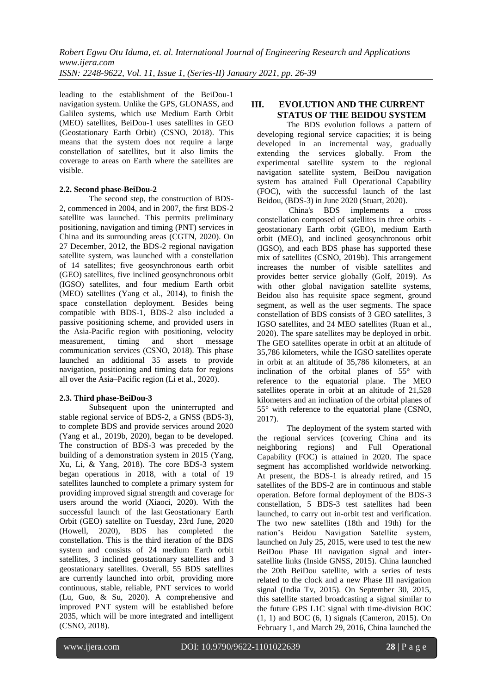leading to the establishment of the BeiDou-1 navigation system. Unlike the GPS, GLONASS, and Galileo systems, which use Medium Earth Orbit (MEO) satellites, BeiDou-1 uses satellites in GEO (Geostationary Earth Orbit) (CSNO, 2018). This means that the system does not require a large constellation of satellites, but it also limits the coverage to areas on Earth where the satellites are visible.

### **2.2. Second phase-BeiDou-2**

The second step, the construction of BDS-2, commenced in 2004, and in 2007, the first BDS-2 satellite was launched. This permits preliminary positioning, navigation and timing (PNT) services in China and its surrounding areas (CGTN, 2020). On 27 December, 2012, the BDS-2 regional navigation satellite system, was launched with a constellation of 14 satellites; five geosynchronous earth orbit (GEO) satellites, five inclined geosynchronous orbit (IGSO) satellites, and four medium Earth orbit (MEO) satellites (Yang et al., 2014), to finish the space constellation deployment. Besides being compatible with BDS-1, BDS-2 also included a passive positioning scheme, and provided users in the Asia-Pacific region with positioning, velocity measurement, timing and short message communication services (CSNO, 2018). This phase launched an additional 35 assets to provide navigation, positioning and timing data for regions all over the Asia–Pacific region (Li et al., 2020).

### **2.3. Third phase-BeiDou-3**

Subsequent upon the uninterrupted and stable regional service of BDS-2, a GNSS (BDS-3), to complete BDS and provide services around 2020 (Yang et al., 2019b, 2020), began to be developed. The construction of BDS-3 was preceded by the building of a demonstration system in 2015 [\(Yang,](https://onlinelibrary.wiley.com/doi/full/10.1002/navi.291#navi291-bib-0016)  [Xu, Li, & Yang, 2018\).](https://onlinelibrary.wiley.com/doi/full/10.1002/navi.291#navi291-bib-0016) The core BDS-3 system began operations in 2018, with a total of 19 satellites launched to complete a primary system for providing improved signal strength and coverage for users around the world (Xiaoci, 2020). With the successful launch of the last Geostationary Earth Orbit (GEO) satellite on Tuesday, 23rd June, 2020 (Howell, 2020), BDS has completed the constellation. This is the third iteration of the BDS system and consists of 24 medium Earth orbit satellites, 3 inclined geostationary satellites and 3 geostationary satellites. Overall, 55 BDS satellites are currently launched into orbit, providing more continuous, stable, reliable, PNT services to world (Lu, Guo, & Su, 2020). A comprehensive and improved PNT system will be established before 2035, which will be more integrated and intelligent (CSNO, 2018).

## **III. EVOLUTION AND THE CURRENT STATUS OF THE BEIDOU SYSTEM**

The BDS evolution follows a pattern of developing regional service capacities; it is being developed in an [incremental way,](https://gssc.esa.int/navipedia/index.php/BeiDou_Future_and_Evolutions) gradually extending the services globally. From the experimental satellite system to the regional navigation satellite system, BeiDou navigation system has attained Full Operational Capability (FOC), with the successful launch of the last Beidou, (BDS-3) in June 2020 (Stuart, 2020).

China's BDS implements a cross constellation composed of satellites in three orbits geostationary Earth orbit (GEO), medium Earth orbit (MEO), and inclined geosynchronous orbit (IGSO), and each BDS phase has supported these mix of satellites (CSNO, 2019b). This arrangement increases the number of visible satellites and provides better service globally (Golf, 2019). As with other global navigation satellite systems, Beidou also has requisite space segment, ground segment, as well as the user segments. The space constellation of BDS consists of 3 GEO satellites, 3 IGSO satellites, and 24 MEO satellites (Ruan et al., [2020\)](https://link.springer.com/article/10.1186/s43020-020-00023-x#ref-CR25). The spare satellites may be deployed in orbit. The GEO satellites operate in orbit at an altitude of 35,786 kilometers, while the IGSO satellites operate in orbit at an altitude of 35,786 kilometers, at an inclination of the orbital planes of 55° with reference to the equatorial plane. The MEO satellites operate in orbit at an altitude of 21,528 kilometers and an inclination of the orbital planes of 55° with reference to the equatorial plane (CSNO, 2017).

The deployment of the system started with the regional services (covering China and its neighboring regions) and Full Operational Capability (FOC) is attained in 2020. The space segment has accomplished worldwide networking. At present, the BDS-1 is already retired, and 15 satellites of the BDS-2 are in continuous and stable operation. Before formal deployment of the BDS-3 constellation, 5 BDS-3 test satellites had been launched, to carry out in-orbit test and verification. The two new satellites (18th and 19th) for the nation's Beidou Navigation Satellite system, launched on July 25, 2015, were used to test the new BeiDou Phase III navigation signal and intersatellite links (Inside GNSS, 2015). China launched the 20th BeiDou satellite, with a series of tests related to the clock and a new Phase III navigation signal (India Tv, 2015). On September 30, 2015, this satellite started broadcasting a signal similar to the future GPS L1C signal with time-division BOC (1, 1) and BOC (6, 1) signals (Cameron, 2015). On February 1, and March 29, 2016, China launched the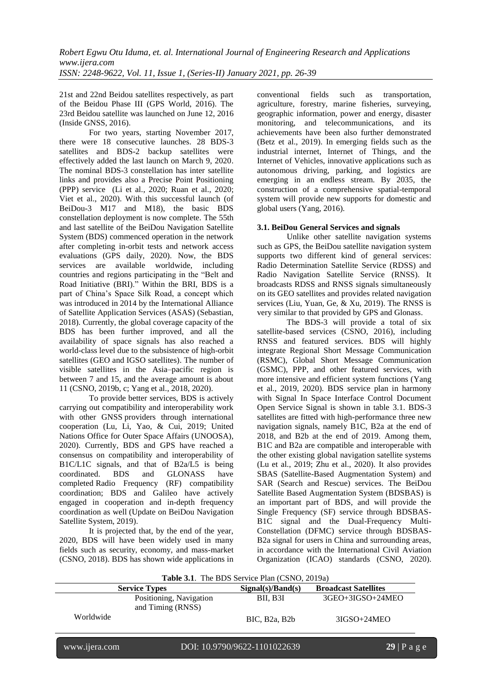21st and 22nd Beidou satellites respectively, as part of the Beidou Phase III (GPS World, 2016). The 23rd Beidou satellite was launched on June 12, 2016 (Inside GNSS, 2016).

For two years, starting November 2017, there were 18 consecutive launches. 28 BDS-3 satellites and BDS-2 backup satellites were effectively added the last launch on March 9, 2020. The nominal BDS-3 constellation has inter satellite links and provides also a Precise Point Positioning (PPP) service (Li et al., [2020;](https://link.springer.com/article/10.1186/s43020-020-00023-x#ref-CR19) Ruan et al., [2020;](https://link.springer.com/article/10.1186/s43020-020-00023-x#ref-CR25) Viet et al., [2020\)](https://link.springer.com/article/10.1186/s43020-020-00023-x#ref-CR28). With this successful launch (of BeiDou-3 M17 and M18), the basic BDS constellation deployment is now complete. The 55th and last satellite of the BeiDou Navigation Satellite System (BDS) commenced operation in the network after completing in-orbit tests and network access evaluations (GPS daily, 2020). Now, the BDS services are available worldwide, including countries and regions participating in the "Belt and Road Initiative (BRI)." Within the BRI, BDS is a part of China's Space Silk Road, a concept which was introduced in 2014 by the International Alliance of Satellite Application Services (ASAS) (Sebastian, 2018). Currently, the global coverage capacity of the BDS has been further improved, and all the availability of space signals has also reached a world-class level due to the subsistence of high-orbit satellites (GEO and IGSO satellites). The number of visible satellites in the Asia–pacific region is between 7 and 15, and the average amount is about 11 (CSNO, [2019b,](https://link.springer.com/article/10.1186/s43020-020-00025-9#ref-CR4) [c;](https://link.springer.com/article/10.1186/s43020-020-00025-9#ref-CR5) Yang et al., [2018,](https://link.springer.com/article/10.1186/s43020-020-00025-9#ref-CR14) [2020\)](https://link.springer.com/article/10.1186/s43020-020-00025-9#ref-CR13).

To provide better services, BDS is actively carrying out compatibility and interoperability work with other GNSS providers through international cooperation [\(Lu,](https://onlinelibrary.wiley.com/action/doSearch?ContribAuthorStored=Lu%2C+Mingquan) Li, Yao, & Cui, 2019; United Nations Office for Outer Space Affairs (UNOOSA), 2020). Currently, BDS and GPS have reached a consensus on compatibility and interoperability of B1C/L1C signals, and that of B2a/L5 is being coordinated. BDS and GLONASS have completed Radio Frequency (RF) compatibility coordination; BDS and Galileo have actively engaged in cooperation and in-depth frequency coordination as well (Update on BeiDou Navigation Satellite System, [2019\)](https://link.springer.com/article/10.1186/s43020-020-00025-9#ref-CR9).

It is projected that, by the end of the year, 2020, BDS will have been widely used in many fields such as security, economy, and mass-market (CSNO, [2018\)](https://link.springer.com/article/10.1186/s43020-020-00025-9#ref-CR3). BDS has shown wide applications in conventional fields such as transportation, agriculture, forestry, marine fisheries, surveying, geographic information, power and energy, disaster monitoring, and telecommunications, and its achievements have been also further demonstrated (Betz et al., [2019\)](https://link.springer.com/article/10.1186/s43020-020-00025-9#ref-CR1). In emerging fields such as the industrial internet, Internet of Things, and the Internet of Vehicles, innovative applications such as autonomous driving, parking, and logistics are emerging in an endless stream. By 2035, the construction of a comprehensive spatial-temporal system will provide new supports for domestic and global users (Yang[, 2016\)](https://link.springer.com/article/10.1186/s43020-020-00025-9#ref-CR10).

### **3.1. BeiDou General Services and signals**

Unlike other satellite navigation systems such as GPS, the BeiDou satellite navigation system supports two different kind of [general services:](https://gssc.esa.int/navipedia/index.php/BeiDou_Services) Radio Determination Satellite Service (RDSS) and Radio Navigation Satellite Service (RNSS). It broadcasts RDSS and RNSS signals simultaneously on its GEO satellites and provides related navigation services (Liu, Yuan, Ge, & Xu, 2019). The RNSS is very similar to that provided by GPS and Glonass.

The BDS-3 will provide a total of six satellite-based services (CSNO, [2016\)](https://link.springer.com/article/10.1186/s43020-020-00025-9#ref-CR2), including RNSS and featured services. BDS will highly integrate Regional Short Message Communication (RSMC), Global Short Message Communication (GSMC), PPP, and other featured services, with more intensive and efficient system functions (Yang et al., [2019,](https://link.springer.com/article/10.1186/s43020-020-00025-9#ref-CR11) [2020\)](https://link.springer.com/article/10.1186/s43020-020-00025-9#ref-CR13). BDS service plan in harmony with Signal In Space Interface Control Document Open Service Signal is shown in table 3.1. BDS-3 satellites are fitted with high-performance three new navigation signals, namely B1C, B2a at the end of 2018, and B2b at the end of 2019. Among them, B1C and B2a are compatible and interoperable with the other existing global navigation satellite systems [\(Lu](https://onlinelibrary.wiley.com/action/doSearch?ContribAuthorStored=Lu%2C+Mingquan) et al., 2019; Zhu et al., 2020). It also provides SBAS (Satellite-Based Augmentation System) and SAR (Search and Rescue) services. The BeiDou Satellite Based Augmentation System (BDSBAS) is an important part of BDS, and will provide the Single Frequency (SF) service through BDSBAS-B1C signal and the Dual-Frequency Multi-Constellation (DFMC) service through BDSBAS-B2a signal for users in China and surrounding areas, in accordance with the International Civil Aviation Organization (ICAO) standards (CSNO, 2020).

| Table 3.1. The BDS Service Plan (CSNO, 2019a) |                                              |                                         |                             |
|-----------------------------------------------|----------------------------------------------|-----------------------------------------|-----------------------------|
| Signal(s)/Band(s)<br><b>Service Types</b>     |                                              |                                         | <b>Broadcast Satellites</b> |
|                                               | Positioning, Navigation<br>and Timing (RNSS) | BII. B3I                                | $3GEO+3IGSO+24MEO$          |
| Worldwide                                     |                                              | BIC, B <sub>2</sub> a, B <sub>2</sub> b | $3IGSO+24MEO$               |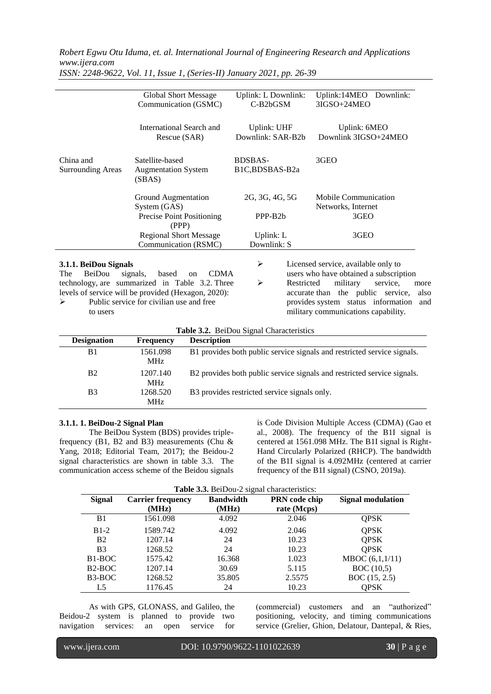|                                                                                                                                                                                                                                                        | <b>Global Short Message</b><br>Communication (GSMC)                       | Uplink: L Downlink:<br>C-B2bGSM          | Uplink:14MEO<br>Downlink:<br>3IGSO+24MEO                                                                                                                                                                                                                     |  |
|--------------------------------------------------------------------------------------------------------------------------------------------------------------------------------------------------------------------------------------------------------|---------------------------------------------------------------------------|------------------------------------------|--------------------------------------------------------------------------------------------------------------------------------------------------------------------------------------------------------------------------------------------------------------|--|
|                                                                                                                                                                                                                                                        | International Search and<br>Rescue (SAR)                                  | <b>Uplink: UHF</b><br>Downlink: SAR-B2b  | Uplink: 6MEO<br>Downlink 3IGSO+24MEO                                                                                                                                                                                                                         |  |
| China and<br><b>Surrounding Areas</b>                                                                                                                                                                                                                  | Satellite-based<br><b>Augmentation System</b><br>(SBAS)                   | <b>BDSBAS-</b><br>B1C,BDSBAS-B2a         | 3GEO                                                                                                                                                                                                                                                         |  |
|                                                                                                                                                                                                                                                        | Ground Augmentation<br>System (GAS)<br>Precise Point Positioning<br>(PPP) | 2G, 3G, 4G, 5G<br>PPP-B <sub>2</sub> b   | <b>Mobile Communication</b><br>Networks, Internet<br>3GEO                                                                                                                                                                                                    |  |
|                                                                                                                                                                                                                                                        | <b>Regional Short Message</b><br>Communication (RSMC)                     | Uplink: L<br>Downlink: S                 | 3GEO                                                                                                                                                                                                                                                         |  |
| 3.1.1. BeiDou Signals<br>BeiDou<br>signals,<br><b>CDMA</b><br>The<br>based<br>on<br>technology, are summarized in Table 3.2. Three<br>levels of service will be provided (Hexagon, 2020):<br>Public service for civilian use and free<br>⋗<br>to users |                                                                           | ➤<br>$\blacktriangleright$               | Licensed service, available only to<br>users who have obtained a subscription<br>Restricted<br>military<br>service,<br>more<br>accurate than the public service,<br>also<br>provides system status information<br>and<br>military communications capability. |  |
| Decianation                                                                                                                                                                                                                                            | $\Gamma$ <sub>no</sub> $\alpha$ <sub>n</sub> onov<br>Decembrican          | Table 3.2. BeiDou Signal Characteristics |                                                                                                                                                                                                                                                              |  |

*ISSN: 2248-9622, Vol. 11, Issue 1, (Series-II) January 2021, pp. 26-39*

| <b>Designation</b> | <b>Frequency</b>       | <b>Description</b>                                                      |
|--------------------|------------------------|-------------------------------------------------------------------------|
| B1                 | 1561.098<br>MHz.       | B1 provides both public service signals and restricted service signals. |
| <b>B2</b>          | 1207.140<br>MHz.       | B2 provides both public service signals and restricted service signals. |
| B <sub>3</sub>     | 1268.520<br><b>MHz</b> | B3 provides restricted service signals only.                            |

#### **3.1.1. 1. BeiDou-2 Signal Plan**

The BeiDou System (BDS) provides triplefrequency (B1, B2 and B3) measurements (Chu  $&$ Yang, 2018; Editorial Team, 2017); the Beidou-2 signal characteristics are shown in table 3.3. The communication access scheme of the Beidou signals is Code Division Multiple Access (CDMA) (Gao et al., 2008). The frequency of the B1I signal is centered at 1561.098 MHz. The B1I signal is Right-Hand Circularly Polarized (RHCP). The bandwidth of the B1I signal is 4.092MHz (centered at carrier frequency of the B1I signal) (CSNO, 2019a).

| Table 3.3. BeiDou-2 signal characteristics: |  |
|---------------------------------------------|--|
|---------------------------------------------|--|

| <b>Signal</b>       | <b>Carrier frequency</b> | <b>Bandwidth</b> | PRN code chip | <b>Signal modulation</b> |
|---------------------|--------------------------|------------------|---------------|--------------------------|
|                     | (MHz)                    | (MHz)            | rate (Mcps)   |                          |
| B1                  | 1561.098                 | 4.092            | 2.046         | <b>QPSK</b>              |
| $B1-2$              | 1589.742                 | 4.092            | 2.046         | <b>QPSK</b>              |
| B <sub>2</sub>      | 1207.14                  | 24               | 10.23         | <b>QPSK</b>              |
| B <sub>3</sub>      | 1268.52                  | 24               | 10.23         | <b>QPSK</b>              |
| B <sub>1</sub> -BOC | 1575.42                  | 16.368           | 1.023         | MBOC (6,1,1/11)          |
| B <sub>2</sub> -BOC | 1207.14                  | 30.69            | 5.115         | BOC(10,5)                |
| $B3-BOC$            | 1268.52                  | 35.805           | 2.5575        | BOC (15, 2.5)            |
| L5                  | 1176.45                  | 24               | 10.23         | <b>OPSK</b>              |

As with GPS, GLONASS, and Galileo, the Beidou-2 system is planned to provide two navigation services: an open service for

(commercial) customers and an "authorized" positioning, velocity, and timing communications service (Grelier, Ghion, Delatour, Dantepal, & Ries,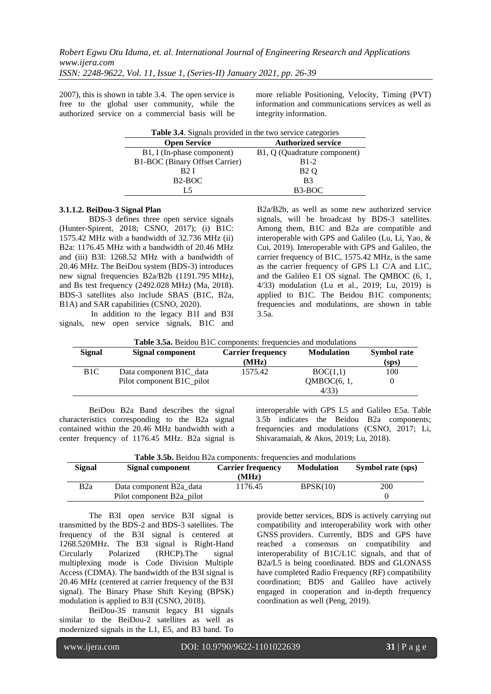2007), this is shown in table 3.4. The open service is free to the global user community, while the authorized service on a commercial basis will be

more reliable Positioning, Velocity, Timing (PVT) information and communications services as well as integrity information.

| Table 3.4. Signals provided in the two service categories |                              |  |
|-----------------------------------------------------------|------------------------------|--|
| <b>Open Service</b>                                       | <b>Authorized service</b>    |  |
| B1, I (In-phase component)                                | B1, Q (Quadrature component) |  |
| <b>B1-BOC</b> (Binary Offset Carrier)                     | $B1-2$                       |  |
| B2 I                                                      | B <sub>2</sub> Q             |  |
| B <sub>2</sub> -BOC                                       | B <sub>3</sub>               |  |
| L 5                                                       | $B3-BOC$                     |  |

#### **3.1.1.2. BeiDou-3 Signal Plan**

BDS-3 defines three open service signals (Hunter-Spirent, 2018; CSNO, 2017); (i) B1C: 1575.42 MHz with a bandwidth of 32.736 MHz (ii) B2a: 1176.45 MHz with a bandwidth of 20.46 MHz and (iii) B3I: 1268.52 MHz with a bandwidth of 20.46 MHz. The BeiDou system (BDS-3) introduces new signal frequencies B2a/B2b (1191.795 MHz), and Bs test frequency (2492.028 MHz) (Ma, 2018). BDS-3 satellites also include [SBAS](https://en.wikipedia.org/wiki/Satellite-based_augmentation_system) (B1C, B2a, B1A) an[d SAR](https://en.wikipedia.org/wiki/Search_and_rescue_transponder) capabilities (CSNO, 2020).

In addition to the legacy B1I and B3I signals, new open service signals, B1C and B2a/B2b, as well as some new authorized service signals, will be broadcast by BDS-3 satellites. Among them, B1C and B2a are compatible and interoperable with GPS and Galileo [\(Lu,](https://onlinelibrary.wiley.com/action/doSearch?ContribAuthorStored=Lu%2C+Mingquan) Li, Yao, & Cui, 2019). Interoperable with GPS and Galileo, the carrier frequency of B1C, 1575.42 MHz, is the same as the carrier frequency of GPS L1 C/A and L1C, and the Galileo E1 OS signal. The QMBOC (6, 1, 4/33) modulation [\(Lu](https://onlinelibrary.wiley.com/action/doSearch?ContribAuthorStored=Lu%2C+Mingquan) et al., 2019; Lu, 2019) is applied to B1C. The Beidou B1C components; frequencies and modulations, are shown in table 3.5a.

| Table 3.5a. Beidou B1C components: frequencies and modulations |  |
|----------------------------------------------------------------|--|
|----------------------------------------------------------------|--|

| <b>Signal</b>    | Signal component                       | <b>Carrier frequency</b><br>(MHz) | <b>Modulation</b> | <b>Symbol rate</b><br>(sps) |
|------------------|----------------------------------------|-----------------------------------|-------------------|-----------------------------|
| B <sub>1</sub> C | Data component B <sub>1</sub> C data   | 1575.42                           | BOC(1,1)          | 100                         |
|                  | Pilot component B <sub>1</sub> C pilot |                                   | OMBOC(6, 1,       |                             |
|                  |                                        |                                   | 4/33              |                             |

BeiDou B2a Band describes the signal characteristics corresponding to the B2a signal contained within the 20.46 MHz bandwidth with a center frequency of 1176.45 MHz. B2a signal is

interoperable with GPS L5 and Galileo E5a. Table 3.5b indicates the Beidou B2a components; frequencies and modulations (CSNO, 2017; Li, Shivaramaiah, & Akos, 2019; Lu, 2018).

| Signal | Signal component          | <b>Carrier frequency</b><br>(MHz) | <b>Modulation</b> | Symbol rate (sps) |
|--------|---------------------------|-----------------------------------|-------------------|-------------------|
| B2a    | Data component B2a data   | 1176.45                           | BPSK(10)          | 200               |
|        | Pilot component B2a pilot |                                   |                   |                   |

The B3I open service B3I signal is transmitted by the BDS-2 and BDS-3 satellites. The frequency of the B3I signal is centered at 1268.520MHz. The B3I signal is Right-Hand Circularly Polarized (RHCP).The signal multiplexing mode is Code Division Multiple Access (CDMA). The bandwidth of the B3I signal is 20.46 MHz (centered at carrier frequency of the B3I signal). The Binary Phase Shift Keying (BPSK) modulation is applied to B3I (CSNO, 2018).

BeiDou-3S transmit legacy B1 signals similar to the BeiDou-2 satellites as well as modernized signals in the L1, E5, and B3 band. To

provide better services, BDS is actively carrying out compatibility and interoperability work with other GNSS providers. Currently, BDS and GPS have reached a consensus on compatibility and interoperability of B1C/L1C signals, and that of B2a/L5 is being coordinated. BDS and GLONASS have completed Radio Frequency (RF) compatibility coordination; BDS and Galileo have actively engaged in cooperation and in-depth frequency coordination as well (Peng, [2019\)](https://link.springer.com/article/10.1186/s43020-020-00025-9#ref-CR9).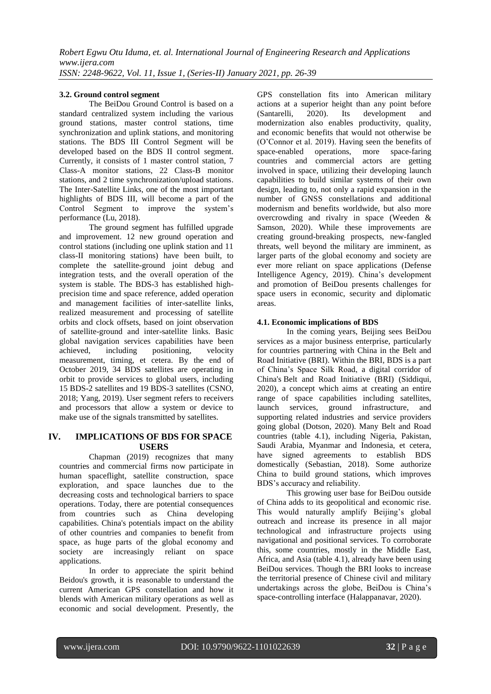### **3.2. Ground control segment**

The BeiDou Ground Control is based on a standard centralized system including the various ground stations, master control stations, time synchronization and uplink stations, and monitoring stations. The BDS III Control Segment will be developed based on the BDS II control segment. Currently, it consists of 1 master control station, 7 Class-A monitor stations, 22 Class-B monitor stations, and 2 time synchronization/upload stations. The Inter-Satellite Links, one of the most important highlights of BDS III, will become a part of the Control Segment to improve the system's performance (Lu, 2018).

The ground segment has fulfilled upgrade and improvement. 12 new ground operation and control stations (including one uplink station and 11 class-II monitoring stations) have been built, to complete the satellite-ground joint debug and integration tests, and the overall operation of the system is stable. The BDS-3 has established highprecision time and space reference, added operation and management facilities of inter-satellite links, realized measurement and processing of satellite orbits and clock offsets, based on joint observation of satellite-ground and inter-satellite links. Basic global navigation services capabilities have been achieved, including positioning, velocity measurement, timing, et cetera. By the end of October 2019, 34 BDS satellites are operating in orbit to provide services to global users, including 15 BDS-2 satellites and 19 BDS-3 satellites (CSNO, 2018; Yang, 2019). User segment refers to receivers and processors that allow a system or device to make use of the signals transmitted by satellites.

### **IV. IMPLICATIONS OF BDS FOR SPACE USERS**

Chapman (2019) recognizes that many countries and commercial firms now participate in human spaceflight, satellite construction, space exploration, and space launches due to the decreasing costs and technological barriers to space operations. Today, there are potential consequences from countries such as China developing capabilities. China's potentials impact on the ability of other countries and companies to benefit from space, as huge parts of the global economy and society are increasingly reliant on space applications.

In order to appreciate the spirit behind Beidou's growth, it is reasonable to understand the current American GPS constellation and how it blends with American military operations as well as economic and social development. Presently, the GPS constellation fits into American military actions at a superior height than any point before (Santarelli, 2020). Its development and modernization also enables productivity, quality, and economic benefits that would not otherwise be (O'Connor et al. 2019). Having seen the benefits of space-enabled operations, more space-faring operations, more space-faring countries and commercial actors are getting involved in space, utilizing their developing launch capabilities to build similar systems of their own design, leading to, not only a rapid expansion in the number of GNSS constellations and additional modernism and benefits worldwide, but also more overcrowding and rivalry in space (Weeden & Samson, 2020). While these improvements are creating ground-breaking prospects, new-fangled threats, well beyond the military are imminent, as larger parts of the global economy and society are ever more reliant on space applications (Defense Intelligence Agency, 2019). China's development and promotion of BeiDou presents challenges for space users in economic, security and diplomatic areas.

### **4.1. Economic implications of BDS**

In the coming years, Beijing sees BeiDou services as a major business enterprise, particularly for countries partnering with China in the Belt and Road Initiative (BRI). Within the BRI, BDS is a part of China's Space Silk Road, a digital corridor of China's Belt and Road Initiative (BRI) [\(Siddiqui,](https://asiatimes.com/author/sabena-siddiqui/) 2020), a concept which aims at creating an entire range of space capabilities including satellites, launch services, ground infrastructure, and supporting related industries and service providers going global (Dotson, 2020). Many Belt and Road countries (table 4.1), including Nigeria, Pakistan, Saudi Arabia, Myanmar and Indonesia, et cetera, have signed agreements to establish BDS domestically (Sebastian, 2018). Some authorize China to build ground stations, which improves BDS's accuracy and reliability.

This growing user base for BeiDou outside of China adds to its geopolitical and economic rise. This would naturally amplify Beijing's global outreach and increase its presence in all major technological and infrastructure projects using navigational and positional services. To corroborate this, some countries, mostly in the Middle East, Africa, and Asia (table 4.1), already have been using BeiDou services. Though the BRI looks to increase the territorial presence of Chinese civil and military undertakings across the globe, BeiDou is China's space-controlling interface (Halappanavar, 2020).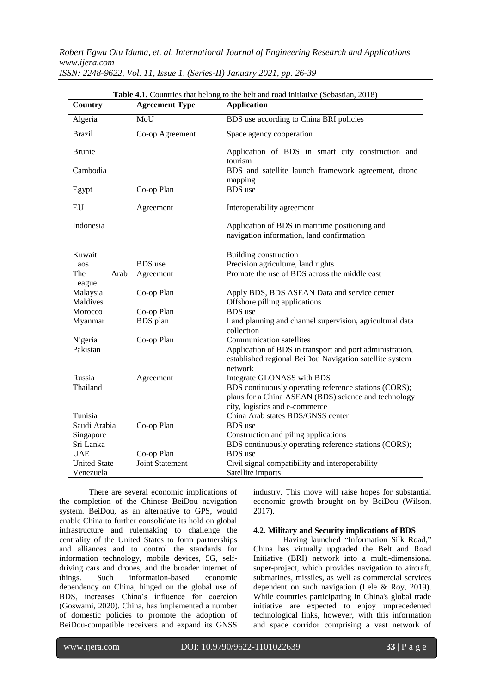| Table 4.1. Countries that belong to the belt and road initiative (Sebastian, 2018) |                        |                                                                                                                                                                                          |  |
|------------------------------------------------------------------------------------|------------------------|------------------------------------------------------------------------------------------------------------------------------------------------------------------------------------------|--|
| Country                                                                            | <b>Agreement Type</b>  | <b>Application</b>                                                                                                                                                                       |  |
| Algeria                                                                            | MoU                    | BDS use according to China BRI policies                                                                                                                                                  |  |
| <b>Brazil</b>                                                                      | Co-op Agreement        | Space agency cooperation                                                                                                                                                                 |  |
| <b>Brunie</b>                                                                      |                        | Application of BDS in smart city construction and<br>tourism                                                                                                                             |  |
| Cambodia                                                                           |                        | BDS and satellite launch framework agreement, drone                                                                                                                                      |  |
| Egypt                                                                              | Co-op Plan             | mapping<br><b>BDS</b> use                                                                                                                                                                |  |
| EU                                                                                 | Agreement              | Interoperability agreement                                                                                                                                                               |  |
| Indonesia                                                                          |                        | Application of BDS in maritime positioning and<br>navigation information, land confirmation                                                                                              |  |
| Kuwait                                                                             |                        | Building construction                                                                                                                                                                    |  |
| Laos                                                                               | <b>BDS</b> use         | Precision agriculture, land rights                                                                                                                                                       |  |
| The<br>Arab<br>League                                                              | Agreement              | Promote the use of BDS across the middle east                                                                                                                                            |  |
| Malaysia<br>Maldives                                                               | Co-op Plan             | Apply BDS, BDS ASEAN Data and service center<br>Offshore pilling applications                                                                                                            |  |
| Morocco                                                                            | Co-op Plan             | <b>BDS</b> use                                                                                                                                                                           |  |
| Myanmar                                                                            | <b>BDS</b> plan        | Land planning and channel supervision, agricultural data<br>collection                                                                                                                   |  |
| Nigeria<br>Pakistan                                                                | Co-op Plan             | <b>Communication satellites</b><br>Application of BDS in transport and port administration,<br>established regional BeiDou Navigation satellite system                                   |  |
| Russia<br>Thailand                                                                 | Agreement              | network<br>Integrate GLONASS with BDS<br>BDS continuously operating reference stations (CORS);<br>plans for a China ASEAN (BDS) science and technology<br>city, logistics and e-commerce |  |
| Tunisia<br>Saudi Arabia<br>Singapore<br>Sri Lanka                                  | Co-op Plan             | China Arab states BDS/GNSS center<br><b>BDS</b> use<br>Construction and piling applications<br>BDS continuously operating reference stations (CORS);                                     |  |
| <b>UAE</b>                                                                         | Co-op Plan             | <b>BDS</b> use                                                                                                                                                                           |  |
| <b>United State</b>                                                                | <b>Joint Statement</b> | Civil signal compatibility and interoperability                                                                                                                                          |  |
| Venezuela                                                                          |                        | Satellite imports                                                                                                                                                                        |  |

*ISSN: 2248-9622, Vol. 11, Issue 1, (Series-II) January 2021, pp. 26-39*

There are several economic implications of the completion of the Chinese BeiDou navigation system. BeiDou, as an alternative to GPS, would enable China to further consolidate its hold on global infrastructure and rulemaking to challenge the centrality of the United States to form partnerships and alliances and to control the standards for information technology, mobile devices, 5G, selfdriving cars and drones, and the broader internet of things. Such information-based economic dependency on China, hinged on the global use of BDS, increases China's influence for coercion (Goswami, 2020). China, has implemented a number of domestic policies to promote the adoption of BeiDou-compatible receivers and expand its GNSS

industry. This move will raise hopes for substantial economic growth brought on by BeiDou (Wilson, 2017).

### **4.2. Military and Security implications of BDS**

Having launched "Information Silk Road," China has virtually upgraded the Belt and Road Initiative (BRI) network into a multi-dimensional super-project, which provides navigation to aircraft, submarines, missiles, as well as commercial services dependent on such navigation (Lele & Roy, 2019). While countries participating in China's global trade initiative are expected to enjoy unprecedented technological links, however, with this information and space corridor comprising a vast network of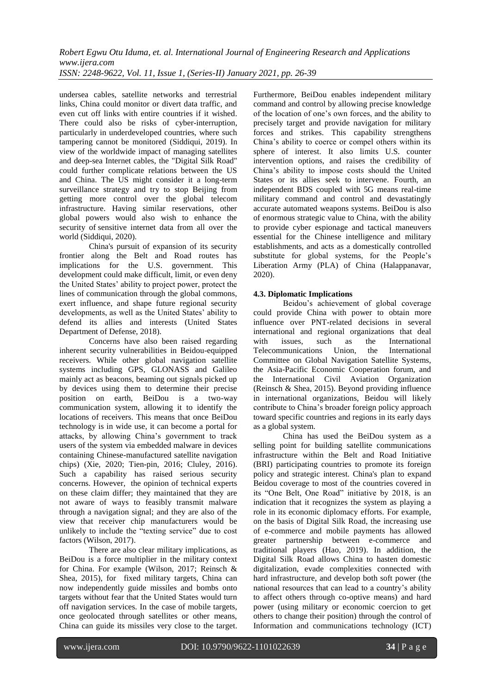undersea cables, satellite networks and terrestrial links, China could monitor or divert data traffic, and even cut off links with entire countries if it wished. There could also be risks of cyber-interruption, particularly in underdeveloped countries, where such tampering cannot be monitored [\(Siddiqui,](https://asiatimes.com/author/sabena-siddiqui/) 2019). In view of the worldwide impact of managing satellites and deep-sea Internet cables, the "Digital Silk Road" could further complicate relations between the US and China. The US might consider it a long-term surveillance strategy and try to stop Beijing from getting more control over the global telecom infrastructure. Having similar reservations, other global powers would also wish to enhance the security of sensitive internet data from all over the world [\(Siddiqui,](https://asiatimes.com/author/sabena-siddiqui/) 2020).

China's pursuit of expansion of its security frontier along the Belt and Road routes has implications for the U.S. government. This development could make difficult, limit, or even deny the United States' ability to project power, protect the lines of communication through the global commons, exert influence, and shape future regional security developments, as well as the United States' ability to defend its allies and interests (United States Department of Defense, 2018).

Concerns have also been raised regarding inherent security vulnerabilities in Beidou-equipped receivers. While other global navigation satellite systems including GPS, GLONASS and Galileo mainly act as beacons, beaming out signals picked up by devices using them to determine their precise position on earth, BeiDou is a two-way communication system, allowing it to identify the locations of receivers. This means that once BeiDou technology is in wide use, it can become a portal for attacks, by allowing China's government to track users of the system via embedded malware in devices containing Chinese-manufactured satellite navigation chips) (Xie, 2020; Tien-pin, 2016; Cluley, 2016). Such a capability has raised serious security concerns. However, the opinion of technical experts on these claim differ; they maintained that they are not aware of ways to feasibly transmit malware through a navigation signal; and they are also of the view that receiver chip manufacturers would be unlikely to include the "texting service" due to cost factors (Wilson, 2017).

There are also clear military implications, as BeiDou is a force multiplier in the military context for China. For example (Wilson, 2017; Reinsch & Shea, 2015), for fixed military targets, China can now independently guide missiles and bombs onto targets without fear that the United States would turn off navigation services. In the case of mobile targets, once geolocated through satellites or other means, China can guide its missiles very close to the target.

Furthermore, BeiDou enables independent military command and control by allowing precise knowledge of the location of one's own forces, and the ability to precisely target and provide navigation for military forces and strikes. This capability strengthens China's ability to coerce or compel others within its sphere of interest. It also limits U.S. counter intervention options, and raises the credibility of China's ability to impose costs should the United States or its allies seek to intervene. Fourth, an independent BDS coupled with 5G means real-time military command and control and devastatingly accurate automated weapons systems. BeiDou is also of enormous strategic value to China, with the ability to provide cyber espionage and tactical maneuvers essential for the Chinese intelligence and military establishments, and acts as a domestically controlled substitute for global systems, for the People's Liberation Army (PLA) of China (Halappanavar, 2020).

### **4.3. Diplomatic Implications**

Beidou's achievement of global coverage could provide China with power to obtain more influence over PNT-related decisions in several international and regional organizations that deal with issues, such as the International Telecommunications Union, the International Committee on Global Navigation Satellite Systems, the Asia-Pacific Economic Cooperation forum, and the International Civil Aviation Organization (Reinsch & Shea, 2015). Beyond providing influence in international organizations, Beidou will likely contribute to China's broader foreign policy approach toward specific countries and regions in its early days as a global system.

China has used the BeiDou system as a selling point for building satellite communications infrastructure within the Belt and Road Initiative (BRI) participating countries to promote its foreign policy and strategic interest. China's plan to expand Beidou coverage to most of the countries covered in its "One Belt, One Road" initiative by 2018, is an indication that it recognizes the system as playing a role in its economic diplomacy efforts. For example, on the basis of Digital Silk Road, the increasing use of e-commerce and mobile payments has allowed greater partnership between e-commerce and traditional players (Hao, 2019). In addition, the Digital Silk Road allows China to hasten domestic digitalization, evade complexities connected with hard infrastructure, and develop both soft power (the national resources that can lead to a country's ability to affect others through co-optive means) and hard power (using military or economic coercion to get others to change their position) through the control of Information and communications technology (ICT)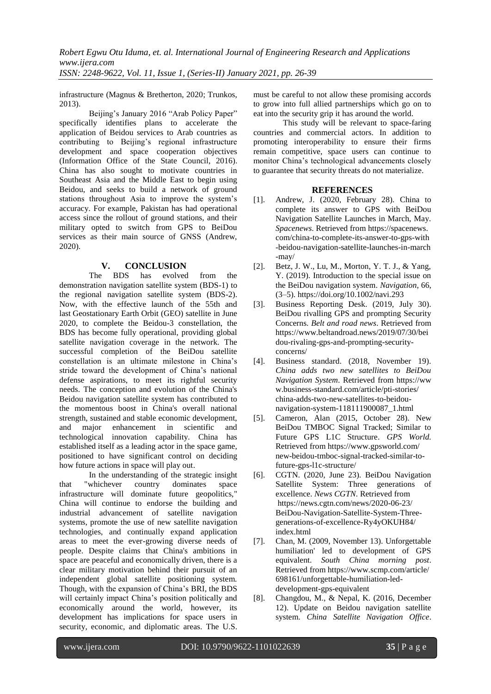infrastructure (Magnus & Bretherton, 2020; Trunkos, 2013).

Beijing's January 2016 "Arab Policy Paper" specifically identifies plans to accelerate the application of Beidou services to Arab countries as contributing to Beijing's regional infrastructure development and space cooperation objectives (Information Office of the State Council, 2016). China has also sought to motivate countries in Southeast Asia and the Middle East to begin using Beidou, and seeks to build a network of ground stations throughout Asia to improve the system's accuracy. For example, Pakistan has had operational access since the rollout of ground stations, and their military opted to switch from GPS to BeiDou services as their main source of GNSS (Andrew, 2020).

### **V. CONCLUSION**

The BDS has evolved from the demonstration navigation satellite system (BDS-1) to the regional navigation satellite system (BDS-2). Now, with the effective launch of the 55th and last Geostationary Earth Orbit (GEO) satellite in June 2020, to complete the Beidou-3 constellation, the BDS has become fully operational, providing global satellite navigation coverage in the network. The successful completion of the BeiDou satellite constellation is an ultimate milestone in China's stride toward the development of China's national defense aspirations, to meet its rightful security needs. The conception and evolution of the China's Beidou navigation satellite system has contributed to the momentous boost in China's overall national strength, sustained and stable economic development, and major enhancement in scientific and technological innovation capability. China has established itself as a leading actor in the space game, positioned to have significant control on deciding how future actions in space will play out.

In the understanding of the strategic insight that "whichever country dominates space infrastructure will dominate future geopolitics," China will continue to endorse the building and industrial advancement of satellite navigation systems, promote the use of new satellite navigation technologies, and continually expand application areas to meet the ever-growing diverse needs of people. Despite claims that China's ambitions in space are peaceful and economically driven, there is a clear military motivation behind their pursuit of an independent global satellite positioning system. Though, with the expansion of China's BRI, the BDS will certainly impact China's position politically and economically around the world, however, its development has implications for space users in security, economic, and diplomatic areas. The U.S.

must be careful to not allow these promising accords to grow into full allied partnerships which go on to eat into the security grip it has around the world.

This study will be relevant to space-faring countries and commercial actors. In addition to promoting interoperability to ensure their firms remain competitive, space users can continue to monitor China's technological advancements closely to guarantee that security threats do not materialize.

### **REFERENCES**

- [1]. Andrew, J. (2020, February 28). China to complete its answer to GPS with BeiDou Navigation Satellite Launches in March, May. *Spacenews*. Retrieved from https://spacenews. com/china-to-complete-its-answer-to-gps-with -beidou-navigation-satellite-launches-in-march -may/
- [2]. Betz, J. W., Lu, M., Morton, Y. T. J., & Yang, Y. (2019). Introduction to the special issue on the BeiDou navigation system. *Navigation*, 66, (3–5).<https://doi.org/10.1002/navi.293>
- [3]. [Business Reporting Desk.](https://www.beltandroad.news/author/bd/) (2019, July 30). BeiDou rivalling GPS and prompting Security Concerns. *Belt and road news*. Retrieved from [https://www.beltandroad.news/2019/07/30/bei](https://www.beltandroad.news/2019/07/30/beidou-rivaling-gps-and-prompting-security-concerns/) [dou-rivaling-gps-and-prompting-security](https://www.beltandroad.news/2019/07/30/beidou-rivaling-gps-and-prompting-security-concerns/)[concerns/](https://www.beltandroad.news/2019/07/30/beidou-rivaling-gps-and-prompting-security-concerns/)
- [4]. Business standard. (2018, November 19). *China adds two new satellites to BeiDou Navigation System*. Retrieved from https://ww w.business-standard.com/article/pti-stories/ china-adds-two-new-satellites-to-beidounavigation-system-118111900087\_1.html
- [5]. Cameron, Alan (2015, October 28). [New](https://www.gpsworld.com/new-beidou-tmboc-signal-tracked-similar-to-future-gps-l1c-structure/)  [BeiDou TMBOC Signal Tracked; Similar to](https://www.gpsworld.com/new-beidou-tmboc-signal-tracked-similar-to-future-gps-l1c-structure/)  [Future GPS L1C Structure.](https://www.gpsworld.com/new-beidou-tmboc-signal-tracked-similar-to-future-gps-l1c-structure/) *GPS World.* Retrieved from https://www.gpsworld.com/ new-beidou-tmboc-signal-tracked-similar-tofuture-gps-l1c-structure/
- [6]. CGTN. (2020, June 23). BeiDou Navigation Satellite System: Three generations of excellence. *News CGTN*. Retrieved from https://news.cgtn.com/news/2020-06-23/ BeiDou-Navigation-Satellite-System-Threegenerations-of-excellence-Ry4yOKUH84/ index.html
- [7]. Chan, M. (2009, November 13). Unforgettable humiliation' led to development of GPS equivalent. *South China morning post*. Retrieved from https://www.scmp.com/article/ 698161/unforgettable-humiliation-leddevelopment-gps-equivalent
- [8]. Changdou, M., & Nepal, K. (2016, December 12). Update on Beidou navigation satellite system. *China Satellite Navigation Office*.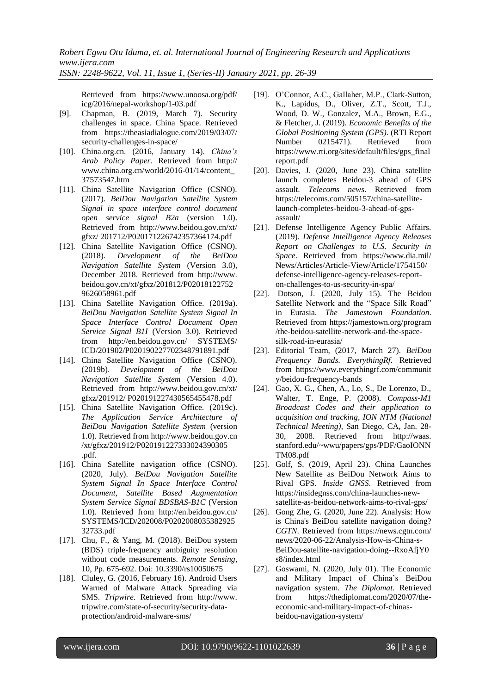Retrieved from https://www.unoosa.org/pdf/ icg/2016/nepal-workshop/1-03.pdf

- [9]. Chapman, B. (2019, March 7). Security challenges in space. [China](https://theasiadialogue.com/category/asia/east-asia/china/) [Space.](https://theasiadialogue.com/category/technology/space-technology/) Retrieved from https://theasiadialogue.com/2019/03/07/ security-challenges-in-space/
- [10]. China.org.cn. (2016, January 14). *China's Arab Policy Paper*. Retrieved from http:// www.china.org.cn/world/2016-01/14/content\_ 37573547.htm
- [11]. China Satellite Navigation Office (CSNO). (2017). *BeiDou Navigation Satellite System Signal in space interface control document open service signal B2a* (version 1.0). Retrieved from http://www.beidou.gov.cn/xt/ gfxz/ 201712/P020171226742357364174.pdf
- [12]. China Satellite Navigation Office (CSNO). (2018). *Development of the BeiDou Navigation Satellite System* (Version 3.0), December 2018. Retrieved from http://www. beidou.gov.cn/xt/gfxz/201812/P02018122752 9626058961.pdf
- [13]. China Satellite Navigation Office. (2019a). *BeiDou Navigation Satellite System Signal In Space Interface Control Document Open Service Signal B1I* (Version 3.0). Retrieved from http://en.beidou.gov.cn/ SYSTEMS/ ICD/201902/P020190227702348791891.pdf
- [14]. China Satellite Navigation Office (CSNO). (2019b). *Development of the BeiDou Navigation Satellite System* (Version 4.0). Retrieved from http://www.beidou.gov.cn/xt/ gfxz/201912/ P020191227430565455478.pdf
- [15]. China Satellite Navigation Office. (2019c). *The Application Service Architecture of BeiDou Navigation Satellite System* (version 1.0). Retrieved from http://www.beidou.go[v.cn](http://www.beidou.gov.cn/xt/gfxz/201912/P020191227333024390305.pdf)  [/xt/gfxz/201912/P020191227333024390305](http://www.beidou.gov.cn/xt/gfxz/201912/P020191227333024390305.pdf) [.pdf.](http://www.beidou.gov.cn/xt/gfxz/201912/P020191227333024390305.pdf)
- [16]. China Satellite navigation office (CSNO). (2020, July). *BeiDou Navigation Satellite System Signal In Space Interface Control Document, Satellite Based Augmentation System Service Signal BDSBAS-B1C* (Version 1.0). Retrieved from http://en.beidou.gov.cn/ SYSTEMS/ICD/202008/P0202008035382925 32733.pdf
- [17]. Chu, F., & Yang, M. (2018). BeiDou system (BDS) triple-frequency ambiguity resolution without code measurements. *Remote Sensing*, 10, Pp. 675-692. Doi: 10.3390/rs10050675
- [18]. Cluley, G. (2016, February 16). Android Users Warned of Malware Attack Spreading via SMS. *Tripwire*. Retrieved from http://www. tripwire.com/state-of-security/security-dataprotection/android-malware-sms/
- [19]. O'Connor, A.C., Gallaher, M.P., Clark-Sutton, K., Lapidus, D., Oliver, Z.T., Scott, T.J., Wood, D. W., Gonzalez, M.A., Brown, E.G., & Fletcher, J. (2019). *Economic Benefits of the Global Positioning System (GPS)*. (RTI Report Number 0215471). Retrieved from https://www.rti.org/sites/default/files/gps\_final report.pdf
- [20]. Davies, J. (2020, June 23). China satellite launch completes Beidou-3 ahead of GPS assault. *Telecoms news*. Retrieved from https://telecoms.com/505157/china-satellitelaunch-completes-beidou-3-ahead-of-gpsassault/
- [21]. Defense Intelligence Agency Public Affairs. (2019). *Defense Intelligence Agency Releases Report on Challenges to U.S. Security in Space*. Retrieved from https://www.dia.mil/ News/Articles/Article-View/Article/1754150/ defense-intelligence-agency-releases-reporton-challenges-to-us-security-in-spa/
- [22]. [Dotson,](https://jamestown.org/analyst/john-dotson/) J. (2020, July 15). The Beidou Satellite Network and the "Space Silk Road" in Eurasia. *The Jamestown Foundation*. Retrieved from https://jamestown.org/program /the-beidou-satellite-network-and-the-spacesilk-road-in-eurasia/
- [23]. Editorial Team, (2017, March 27). *BeiDou Frequency Bands. EverythingRf*. Retrieved from https://www.everythingrf.com/communit y/beidou-frequency-bands
- [24]. Gao, X. G., Chen, A., Lo, S., De Lorenzo, D., Walter, T. Enge, P. (2008). *Compass-M1 Broadcast Codes and their application to acquisition and tracking, ION NTM (National Technical Meeting)*, San Diego, CA, Jan. 28- 30, 2008. Retrieved from [http://waas.](http://waas.stanford.edu/~wwu/papers/gps/PDF/GaoIONNTM08.pdf)  [stanford.edu/~wwu/papers/gps/PDF/GaoIONN](http://waas.stanford.edu/~wwu/papers/gps/PDF/GaoIONNTM08.pdf) [TM08.pdf](http://waas.stanford.edu/~wwu/papers/gps/PDF/GaoIONNTM08.pdf)
- [25]. Golf, S. (2019, April 23). China Launches New Satellite as BeiDou Network Aims to Rival GPS. *Inside GNSS*. Retrieved from https://insidegnss.com/china-launches-newsatellite-as-beidou-network-aims-to-rival-gps/
- [26]. Gong Zhe, G. (2020, June 22). Analysis: How is China's BeiDou satellite navigation doing? *CGTN*. Retrieved from https://news.cgtn.com/ news/2020-06-22/Analysis-How-is-China-s-BeiDou-satellite-navigation-doing--RxoAfjY0 s8/index.html
- [27]. Goswami, N. (2020, July 01). The Economic and Military Impact of China's BeiDou navigation system. *The Diplomat*. Retrieved from https://thediplomat.com/2020/07/theeconomic-and-military-impact-of-chinasbeidou-navigation-system/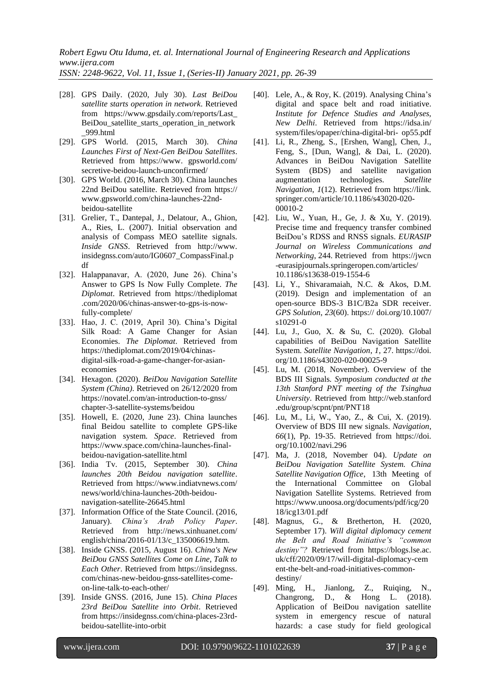*ISSN: 2248-9622, Vol. 11, Issue 1, (Series-II) January 2021, pp. 26-39*

- [28]. GPS Daily. (2020, July 30). *Last BeiDou satellite starts operation in network*. Retrieved from https://www.gpsdaily.com/reports/Last\_ BeiDou satellite starts operation in network [\\_999.html](https://www.gpsdaily.com/reports/Last_BeiDou_satellite_starts_operation_in_network_999.html)
- [29]. GPS World. (2015, March 30). *[China](https://www.gpsworld.com/secretive-beidou-launch-unconfirmed/)  [Launches First of Next-Gen BeiDou Satellites](https://www.gpsworld.com/secretive-beidou-launch-unconfirmed/)*. Retrieved from https://www. gpsworld.com/ secretive-beidou-launch-unconfirmed/
- [30]. GPS World. (2016, March 30). [China launches](https://www.gpsworld.com/china-launches-22nd-beidou-satellite/)  [22nd BeiDou satellite.](https://www.gpsworld.com/china-launches-22nd-beidou-satellite/) Retrieved from https:// www.gpsworld.com/china-launches-22ndbeidou-satellite
- [31]. Grelier, T., Dantepal, J., Delatour, A., Ghion, A., Ries, L. (2007). Initial observation and analysis of Compass MEO satellite signals. *Inside GNSS*. Retrieved from http://www. [insidegnss.com/auto/IG0607\\_CompassFinal.p](http://www.insidegnss.com/auto/IG0607_CompassFinal.pdf) [df](http://www.insidegnss.com/auto/IG0607_CompassFinal.pdf)
- [32]. Halappanavar, A. (2020, June 26). China's Answer to GPS Is Now Fully Complete. *The Diplomat*. Retrieved from https://thediplomat [.com/2020/06/chinas-answer-to-gps-is-now](https://thediplomat.com/2020/06/chinas-answer-to-gps-is-now-fully-complete/)[fully-complete/](https://thediplomat.com/2020/06/chinas-answer-to-gps-is-now-fully-complete/)
- [33]. Hao, J. C. (2019, April 30). China's Digital Silk Road: A Game Changer for Asian Economies. *The Diplomat*. Retrieved from https://thediplomat.com/2019/04/chinasdigital-silk-road-a-game-changer-for-asianeconomies
- [34]. Hexagon. (2020). *BeiDou Navigation Satellite System (China)*. Retrieved on 26/12/2020 from https://novatel.com/an-introduction-to-gnss/ chapter-3-satellite-systems/beidou
- [35]. Howell, E. (2020, June 23). China launches final Beidou satellite to complete GPS-like navigation system. *Space*. Retrieved from https://www.space.com/china-launches-finalbeidou-navigation-satellite.html
- [36]. India Tv. (2015, September 30). *China launches 20th Beidou navigation satellite*. Retrieved from https://www.indiatvnews.com/ news/world/china-launches-20th-beidounavigation-satellite-26645.html
- [37]. Information Office of the State Council. (2016, January). *China's Arab Policy Paper*. Retrieved from http://news.xinhuanet.com/ english/china/2016-01/13/c\_135006619.htm.
- [38]. Inside GNSS. (2015, August 16). *[China's New](http://insidegnss.com/chinas-new-beidou-gnss-satellites-come-on-line-talk-to-each-other/)  [BeiDou GNSS Satellites Come on Line, Talk to](http://insidegnss.com/chinas-new-beidou-gnss-satellites-come-on-line-talk-to-each-other/)  [Each Other](http://insidegnss.com/chinas-new-beidou-gnss-satellites-come-on-line-talk-to-each-other/)*. Retrieved from https://insidegnss. com/chinas-new-beidou-gnss-satellites-comeon-line-talk-to-each-other/
- [39]. Inside GNSS. (2016, June 15). *China Places 23rd BeiDou Satellite into Orbit*. Retrieved from https://insidegnss.com/china-places-23rdbeidou-satellite-into-orbit
- [40]. Lele, A., & Roy, K. (2019). Analysing China's digital and space belt and road initiative. *Institute for Defence Studies and Analyses, New Delhi*. Retrieved from https://idsa.in/ system/files/opaper/china-digital-bri- op55.pdf
- [41]. Li, R., Zheng, S., [Ershen, Wang], Chen, J., Feng, S., [Dun, Wang], & Dai, L. (2020). Advances in BeiDou Navigation Satellite System (BDS) and satellite navigation augmentation technologies. *Satellite Navigation*, *1*(12). Retrieved from https://link. springer.com/article/10.1186/s43020-020- 00010-2
- [42]. Liu, W., Yuan, H., Ge, J. & Xu, Y. (2019). Precise time and frequency transfer combined BeiDou's RDSS and RNSS signals. *[EURASIP](https://jwcn-eurasipjournals.springeropen.com/)  [Journal on Wireless Communications and](https://jwcn-eurasipjournals.springeropen.com/)  [Networking](https://jwcn-eurasipjournals.springeropen.com/)*, 244. Retrieved from https://jwcn -eurasipjournals.springeropen.com/articles/ 10.1186/s13638-019-1554-6
- [43]. Li, Y., Shivaramaiah, N.C. & Akos, D.M. (2019). Design and implementation of an open-source BDS-3 B1C/B2a SDR receiver. *GPS Solution*, *23*(60). https:// doi.org/10.1007/ s10291-0
- [44]. Lu, J., Guo, X. & Su, C. (2020). Global capabilities of BeiDou Navigation Satellite System. *Satellite Navigation*, *1*, 27. https://doi. org/10.1186/s43020-020-00025-9
- [45]. Lu, M. (2018, November). Overview of the BDS III Signals*. Symposium conducted at the 13th Stanford PNT meeting of the Tsinghua University*. Retrieved from http://web.stanford .edu/group/scpnt/pnt/PNT18
- [46]. [Lu,](https://onlinelibrary.wiley.com/action/doSearch?ContribAuthorStored=Lu%2C+Mingquan) M., Li, W., Yao, Z., & Cui, X. (2019). Overview of BDS III new signals. *Navigation*, *66*(1), Pp. 19-35. Retrieved from https://doi. [org/10.1002/navi.296](https://doi.org/10.1002/navi.296)
- [47]. Ma, J. (2018, November 04). *Update on BeiDou Navigation Satellite System. China Satellite Navigation Office*, 13th Meeting of the International Committee on Global Navigation Satellite Systems. Retrieved from https://www.unoosa.org/documents/pdf/icg/20 18/icg13/01.pdf
- [48]. Magnus, G., & Bretherton, H. (2020, September 17). *Will digital diplomacy cement the Belt and Road Initiative's "common destiny"?* Retrieved from https://blogs.lse.ac. uk/cff/2020/09/17/will-digital-diplomacy-cem ent-the-belt-and-road-initiatives-commondestiny/
- [49]. Ming, H., Jianlong, Z., Ruiqing, N., Changrong, D., & Hong L. (2018). Application of BeiDou navigation satellite system in emergency rescue of natural hazards: a case study for field geological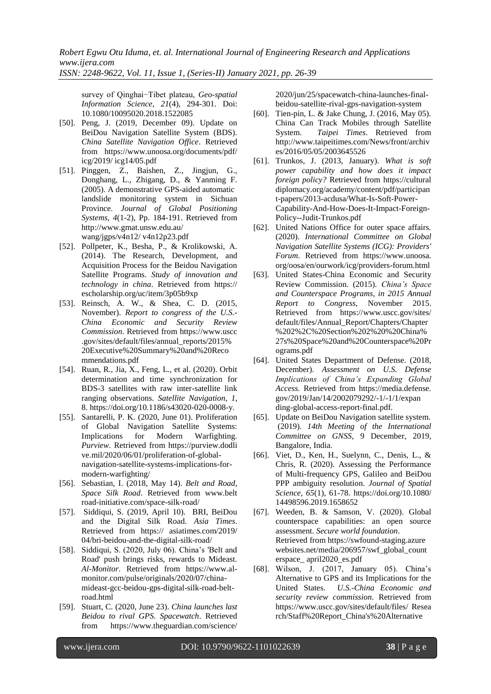survey of Qinghai−Tibet plateau, *Geo-spatial Information Science*, *21*(4), 294-301. Doi: [10.1080/10095020.2018.1522085](https://doi.org/10.1080/10095020.2018.1522085)

- [50]. Peng, J. (2019, December 09). Update on BeiDou Navigation Satellite System (BDS). *China Satellite Navigation Office*. Retrieved from https://www.unoosa.org/documents/pdf/ icg/2019/ icg14/05.pdf
- [51]. Pinggen, Z., Baishen, Z., Jingjun, G., Donghang, L., Zhigang, D., & Yanming F. (2005). A demonstrative GPS-aided automatic landslide monitoring system in Sichuan Province. *Journal of Global Positioning Systems*, *4*(1-2), Pp. 184-191. Retrieved from [http://www.gmat.unsw.edu.au/](http://www.gmat.unsw.edu.au/wang/jgps/v4n12/v4n12p23.pdf) [wang/jgps/v4n12/ v4n12p23.pdf](http://www.gmat.unsw.edu.au/wang/jgps/v4n12/v4n12p23.pdf)
- [52]. Pollpeter, K., Besha, P., & Krolikowski, A. (2014). The Research, Development, and Acquisition Process for the Beidou Navigation Satellite Programs. *Study of innovation and technology in china*. Retrieved from https:// escholarship.org/uc/item/3p05b9xp
- [53]. Reinsch, A. W., & Shea, C. D. (2015, November). *Report to congress of the U.S.- China Economic and Security Review Commission*. Retrieved from https://www.uscc .gov/sites/default/files/annual\_reports/2015% 20Executive%20Summary%20and%20Reco mmendations.pdf
- [54]. Ruan, R., Jia, X., Feng, L., et al. (2020). Orbit determination and time synchronization for BDS-3 satellites with raw inter-satellite link ranging observations. *Satellite Navigation*, *1*, 8. [https://doi.org/10.1186/s43020-020-0008-y.](https://doi.org/10.1186/s43020-020-0008-y)
- [55]. Santarelli, P. K. (2020, June 01). Proliferation of Global Navigation Satellite Systems: Implications for Modern Warfighting. *Purview*. Retrieved from https://purview.dodli ve.mil/2020/06/01/proliferation-of-globalnavigation-satellite-systems-implications-formodern-warfighting/
- [56]. Sebastian, I. (2018, May 14). *Belt and Road, Space Silk Road*. Retrieved from www.belt road-initiative.com/space-silk-road/
- [57]. [Siddiqui,](https://asiatimes.com/author/sabena-siddiqui/) S. (2019, April 10). BRI, BeiDou and the Digital Silk Road. *Asia Times*. Retrieved from https:// asiatimes.com/2019/ 04/bri-beidou-and-the-digital-silk-road/
- [58]. [Siddiqui,](https://asiatimes.com/author/sabena-siddiqui/) S. (2020, July 06). China's 'Belt and Road' push brings risks, rewards to Mideast. *Al-Monitor*. Retrieved from https://www.almonitor.com/pulse/originals/2020/07/chinamideast-gcc-beidou-gps-digital-silk-road-beltroad.html
- [59]. Stuart, C. (2020, June 23). *China launches last Beidou to rival GPS. Spacewatch*. Retrieved from https://www.theguardian.com/science/

2020/jun/25/spacewatch-china-launches-finalbeidou-satellite-rival-gps-navigation-system

- [60]. Tien-pin, L. & Jake Chung, J. (2016, May 05). China Can Track Mobiles through Satellite System. *Taipei Times*. Retrieved from http://www.taipeitimes.com/News/front/archiv es/2016/05/05/2003645526
- [61]. Trunkos, J. (2013, January). *What is soft power capability and how does it impact foreign policy?* Retrieved from https://cultural diplomacy.org/academy/content/pdf/participan t-papers/2013-acdusa/What-Is-Soft-Power-Capability-And-How-Does-It-Impact-Foreign-Policy--Judit-Trunkos.pdf
- [62]. United Nations Office for outer space affairs. (2020). *International Committee on Global Navigation Satellite Systems (ICG): Providers' Forum*. Retrieved from https://www.unoosa. org/oosa/en/ourwork/icg/providers-forum.html
- [63]. United States-China Economic and Security Review Commission. (2015). *China's Space and Counterspace Programs, in 2015 Annual Report to Congress*, November 2015. Retrieved from https://www.uscc.gov/sites/ default/files/Annual\_Report/Chapters/Chapter %202%2C%20Section%202%20%20China% 27s%20Space%20and%20Counterspace%20Pr ograms.pdf
- [64]. United States Department of Defense. (2018, December). *Assessment on U.S. Defense Implications of China's Expanding Global Access*. Retrieved from https://media.defense. gov/2019/Jan/14/2002079292/-1/-1/1/expan ding-global-access-report-final.pdf.
- [65]. Update on BeiDou Navigation satellite system. (2019). *14th Meeting of the International Committee on GNSS,* 9 December, 2019, Bangalore, India.
- [66]. Viet, D., Ken, H., Suelynn, C., Denis, L., & Chris, R. (2020). Assessing the Performance of Multi-frequency GPS, Galileo and BeiDou PPP ambiguity resolution. *Journal of Spatial Science, 65*(1), 61-78. https://doi.org/10.1080/ [14498596.2019.1658652](https://doi.org/10.1080/14498596.2019.1658652)
- [67]. Weeden, B. & Samson, V. (2020). Global counterspace capabilities: an open source assessment. *Secure world foundation*. Retrieved from https://swfound-staging.azure websites.net/media/206957/swf\_global\_count erspace\_ april2020\_es.pdf
- [68]. Wilson, J. (2017, January 05). China's Alternative to GPS and its Implications for the United States. *U.S.-China Economic and security review commission*. Retrieved from https://www.uscc.gov/sites/default/files/ Resea rch/Staff%20Report\_China's%20Alternative